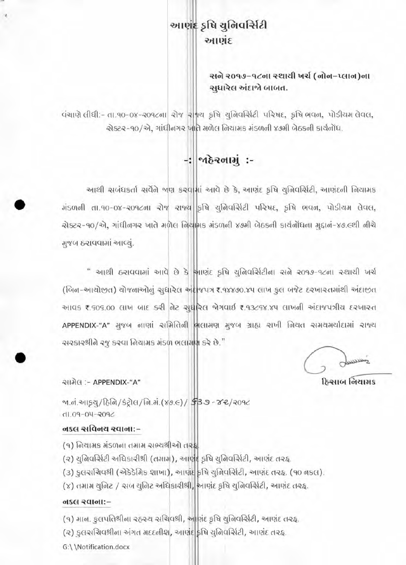### આણંદ કૃષિ યુનિવર્સિટી આણંદ

સને ૨૦૧૭–૧૮ના સ્થાયી ખર્ચ (નોન-પ્લાન)ના સુધારેલ અંદાજો બાબત.

पंચाણે લીધી:- તા.૧૦-૦૪-૨૦૧૮ના રોજ રાજ્ય કૃષિ યુનિવર્સિટી પરિષદ, કૃષિ ભવન, પોડીયમ લેવલ, એક્ટર-90/એ, ગાંધીનગર ખાતે મળેલ નિયામક મંડળની ૪૭મી બેઠકની કાર્યનોંધ.

## -: Mezolli :-

આથી સબંધકર્તા સર્વેને બણ કરવામાં આવે છે કે, આણંદ કૃષિ ચુનિવર્સિટી, આણંદની નિયામક मंडળनी ता.१०-०४-२०१८ना रोष राष्ट्री इधि युनिवर्सिटी परिषद, इधि लवन, पोडीयम लेवल, ચેક્ટર-90/એ, ગાંધીનગર ખાતે મળેલ નિયામક મંડળની ૪૭મી બેઠકની કાર્યનોંધના મુદ્દાન-૪૭.૯થી નીચે મુજબ ઠરાવવામાં આવ્યું.

" આથી ઠરાવવામાં આવે છે કે આણંદ કૃષિ યુનિવર્સિટીના સને ૨૦૧૭-૧૮ના સ્થાયી ખર્ચ (બિન-આચોછત) ચોજનાઓનું સુધારેલ અં≰|જપત્ર ₹.૧૪૪૭૦.૪૫ લાખ કુલ બજેટ દરખાર તમાંથી અંદાછત આવક ₹.૬૦૬.૦૦ લાખ બાદ કરી તેટ સુધરિલ જેગવાઈ ₹.૧૩૮૬૪.૪૫ લાખની અંદાજપત્રીય દરખારત APPENDIX-"A" મુજબ નાણાં સમિતિની ભલામણ મુજબ ગ્રાહ્ય રાખી નિયત સમયમર્યાદામાં રાજ્ય ચરકારશ્રીને રજૂ કરવા નિયામક મંડળ ભલામણ કરે છે."

فنتسا

હિસ્રાબ નિયામક

સામેલ :- APPENDIX-"A"

<u>બ.નં.આકચ/ઠિનિ/કંટ્રોલ/નિ.મં.(૪૭.૯)/ \$3 ૭ - ૪૨/૨૦૧૮</u>  $0.09 - 09 - 09$ 

#### નકલ સવિનય રવાના:-

- (૧) નિયામક મંડળના તમામ સભ્યશ્રીઓ તરફ્ર
- (૨) યુનિવર્સિટી અધિકારીશ્રી (તમામ), આણંદ કૃષિ યુનિવર્સિટી, આણંદ તરફ.
- (૩) કુલસચિવશ્રી (એકેડેમિક શાખા), આણંદ કૃષિ યુનિવર્સિટી, આણંદ તરફ. (૧૦ નકલ).
- (૪) તમામ યુનિટ / અબ યુનિટ અધિકારીશ્રી, આણંદ કૃષિ યુનિવર્સિટી, આણંદ તરહ.

#### न्धानाः

- (૧) માન. કુલપતિશ્રીના રહરચ સચિવશ્રી, આણંદ કૃષિ યુનિવર્સિટી, આણંદ તરફ.
- (૨) કુલસચિવશ્રીના અંગત મદદનીશ, આણંદ કૃષિ યુનિવર્સિટી, આણંદ તરફ.
- G:\\Notification.docx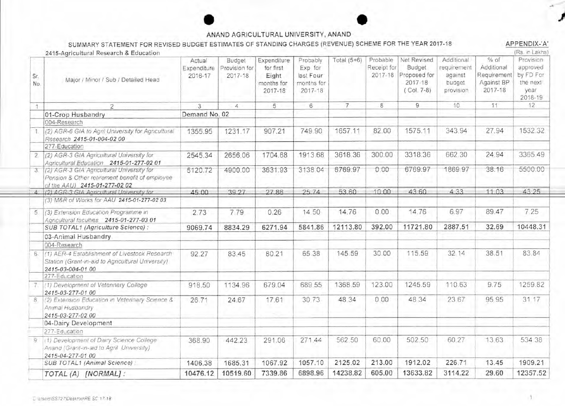#### ANAND AGRICULTURAL UNIVERSITY, ANAND

#### SUMMARY STATEMENT FOR REVISED BUDGET ESTIMATES OF STANDING CHARGES (REVENUE) SCHEME FOR THE YEAR 2017-18

APPENDIX-'A'  $(m_n - n)$  which is

|             | 2415-Agricultural Research & Education                                                                                       |                                  |                                        |                                                            |                                                           |               |                                    |                                                                  |                                                             |                                                              | <b>KS III LANIS</b>                                               |
|-------------|------------------------------------------------------------------------------------------------------------------------------|----------------------------------|----------------------------------------|------------------------------------------------------------|-----------------------------------------------------------|---------------|------------------------------------|------------------------------------------------------------------|-------------------------------------------------------------|--------------------------------------------------------------|-------------------------------------------------------------------|
| Sr.<br>No.  | Major / Minor / Sub / Detailed Head                                                                                          | Actual<br>Expenditure<br>2016-17 | Budget<br>Provision for<br>$2017 - 18$ | Expenditure<br>for first<br>Eight<br>months for<br>2017-18 | Probably<br>Exp for<br>last Four<br>months for<br>2017-18 | Total $(5+6)$ | Probable<br>Receipt for<br>2017-18 | Net Revised<br>Budget<br>Proposed for<br>2017-18<br>$(Col. 7-8)$ | Additional<br>requirement<br>against<br>budget<br>provision | $%$ of<br>Additional<br>Requirement<br>Against BP<br>2017-18 | Provision<br>approved<br>by FD For<br>the next<br>year<br>2018-19 |
| 体           | $\overline{2}$                                                                                                               | 3                                | 4                                      | 5                                                          | 6                                                         | 7             | 8                                  | 9                                                                | 10                                                          | 11                                                           | 12                                                                |
|             | 01-Crop Husbandry                                                                                                            | Demand No. 02                    |                                        |                                                            |                                                           |               |                                    |                                                                  |                                                             |                                                              |                                                                   |
|             | 004-Research                                                                                                                 |                                  |                                        |                                                            |                                                           |               |                                    |                                                                  |                                                             |                                                              |                                                                   |
|             | (2) AGR-6 GIA to Agril University for Agricultural<br>Research 2415-01-004-02 00                                             | 1355.95                          | 1231.17                                | 907.21                                                     | 749.90                                                    | 1657.11       | 82.00                              | 1575.11                                                          | 343.94                                                      | 27.94                                                        | 1532.32                                                           |
|             | 277-Education                                                                                                                |                                  |                                        |                                                            |                                                           |               |                                    |                                                                  |                                                             |                                                              |                                                                   |
| 2.7         | (2) AGR-3 GIA Agricultural University for<br>Agricultural Education 2415-01-277-02 01                                        | 2545.34                          | 2656.06                                | 1704.68                                                    | 1913.68                                                   | 3618.36       | 300.00                             | 3318.36                                                          | 662.30                                                      | 24.94                                                        | 3365.49                                                           |
| 3.          | (2) AGR-3 GIA Agricultural University for<br>Pension & Other retirement benefit of employee<br>of the AAU) 2415-01-277-02 02 | 5120.72                          | 4900.00                                | 3631.93                                                    | 3138.04                                                   | 6769.97       | 0.00                               | 6769.97                                                          | 1869.97                                                     | 38.16                                                        | 5500.00                                                           |
|             | (2) AGR-3 GIA Agricultural University for                                                                                    | 45.00                            | 39.27                                  | 27.86                                                      | 25.74                                                     | 53.60         | 10.00                              | 43 60                                                            | 4 3 3                                                       | 11 03                                                        | 43 25                                                             |
|             | (3) M&R of Works for AAU 2415-01-277-02 03                                                                                   |                                  |                                        |                                                            |                                                           |               |                                    |                                                                  |                                                             |                                                              |                                                                   |
|             | 5. (3) Extension Education Programme in<br>Agncultural faculties 2415-01-277-03 01                                           | 2.73                             | 7.79                                   | 0.26                                                       | 14.50                                                     | 14.76         | 0.00                               | 14.76                                                            | 6.97                                                        | 89.47                                                        | 7.25                                                              |
|             | SUB TOTAL1 (Agriculture Science) :                                                                                           | 9069.74                          | 8834.29                                | 6271.94                                                    | 5841.86                                                   | 12113.80      | 392.00                             | 11721.80                                                         | 2887.51                                                     | 32.69                                                        | 10448.31                                                          |
|             | 03-Animal Husbandry                                                                                                          |                                  |                                        |                                                            |                                                           |               |                                    |                                                                  |                                                             |                                                              |                                                                   |
|             | 004-Research                                                                                                                 |                                  |                                        |                                                            |                                                           |               |                                    |                                                                  |                                                             |                                                              |                                                                   |
| 6.          | (1) AER-4 Establishment of Livestock Research<br>Station (Grant-in-aid to Agricultural University)<br>2415-03-004-01 00      | 92.27                            | 83.45                                  | 80.21                                                      | 65.38                                                     | 145.59        | 30.00                              | 115.59                                                           | 32.14                                                       | 38.51                                                        | 83.84                                                             |
|             | 277-Education                                                                                                                |                                  |                                        |                                                            |                                                           |               |                                    |                                                                  |                                                             |                                                              |                                                                   |
|             | (1) Development of Veterinary College<br>2415-03-277-01 00                                                                   | 918.50                           | 1134.96                                | 679.04                                                     | 689.55                                                    | 1368.59       | 123.00                             | 1245.59                                                          | 110.63                                                      | 9.75                                                         | 1259.82                                                           |
| $8^{\circ}$ | (2) Extension Education in Veterinary Science &<br>Animal Husbandry<br>2415-03-277-02 00                                     | 26.71                            | 24.67                                  | 17.61                                                      | 3073                                                      | 48.34         | 0.00                               | 48.34                                                            | 23 67                                                       | 95.95                                                        | 31 17                                                             |
|             | 04-Dairy Development                                                                                                         |                                  |                                        |                                                            |                                                           |               |                                    |                                                                  |                                                             |                                                              |                                                                   |
|             | 277-Education                                                                                                                |                                  |                                        |                                                            |                                                           |               |                                    |                                                                  |                                                             |                                                              |                                                                   |
| 9           | (1) Development of Dairy Science College<br>Anand (Grant-in-aid to Agril University)<br>2415-04-277-01 00                    | 368.90                           | 442.23                                 | 291.06                                                     | 271,44                                                    | 562 50        | 60.00                              | 502.50                                                           | 60.27                                                       | 13.63                                                        | 534 38                                                            |
|             | SUB TOTAL1 (Animal Science):                                                                                                 | 1406.38                          | 1685.31                                | 1067.92                                                    | 1057.10                                                   | 2125.02       | 213.00                             | 1912.02                                                          | 226.71                                                      | 13.45                                                        | 1909.21                                                           |
|             | TOTAL (A) [NORMAL]:                                                                                                          | 10476.12                         | 10519.60                               | 7339.86                                                    | 6898.96                                                   | 14238.82      | 605.00                             | 13633.82                                                         | 3114.22                                                     | 29.60                                                        | 12357.52                                                          |
|             |                                                                                                                              |                                  |                                        |                                                            |                                                           |               |                                    |                                                                  |                                                             |                                                              |                                                                   |